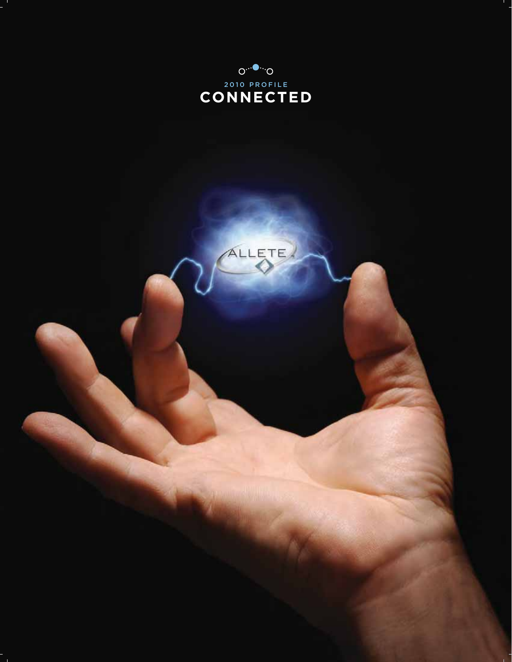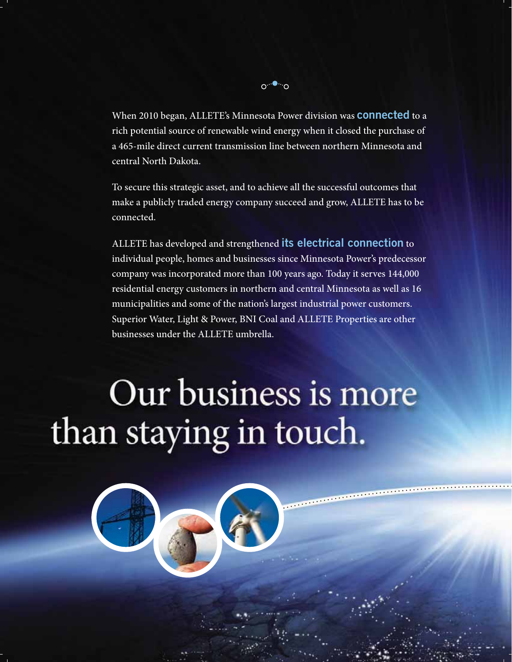

When 2010 began, ALLETE's Minnesota Power division was **connected** to a rich potential source of renewable wind energy when it closed the purchase of a 465-mile direct current transmission line between northern Minnesota and central North Dakota.

To secure this strategic asset, and to achieve all the successful outcomes that make a publicly traded energy company succeed and grow, ALLETE has to be connected.

ALLETE has developed and strengthened **its electrical connection** to individual people, homes and businesses since Minnesota Power's predecessor company was incorporated more than 100 years ago. Today it serves 144,000 residential energy customers in northern and central Minnesota as well as 16 municipalities and some of the nation's largest industrial power customers. Superior Water, Light & Power, BNI Coal and ALLETE Properties are other businesses under the ALLETE umbrella.

and the contract of the contract of the contract of the contract of the contract of the contract of the contract of

# Our business is more than staying in touch.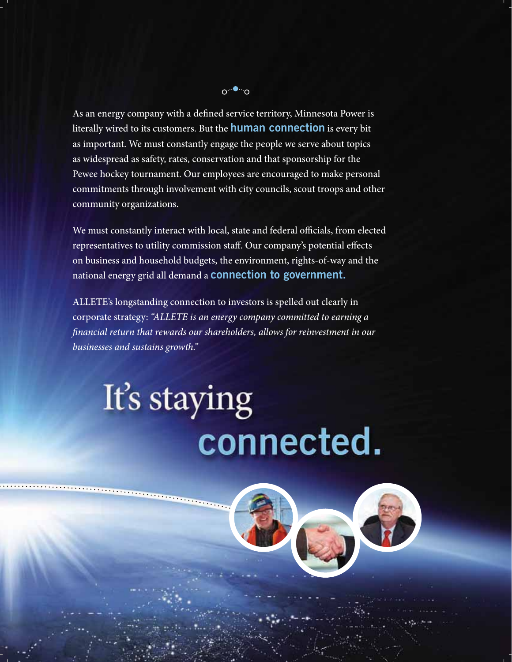

As an energy company with a defined service territory, Minnesota Power is literally wired to its customers. But the **human connection** is every bit as important. We must constantly engage the people we serve about topics as widespread as safety, rates, conservation and that sponsorship for the Pewee hockey tournament. Our employees are encouraged to make personal commitments through involvement with city councils, scout troops and other community organizations.

We must constantly interact with local, state and federal officials, from elected representatives to utility commission staff. Our company's potential effects on business and household budgets, the environment, rights-of-way and the national energy grid all demand a **connection to government.**

ALLETE's longstanding connection to investors is spelled out clearly in corporate strategy: *"ALLETE is an energy company committed to earning a financial return that rewards our shareholders, allows for reinvestment in our businesses and sustains growth."*

# It's staying connected.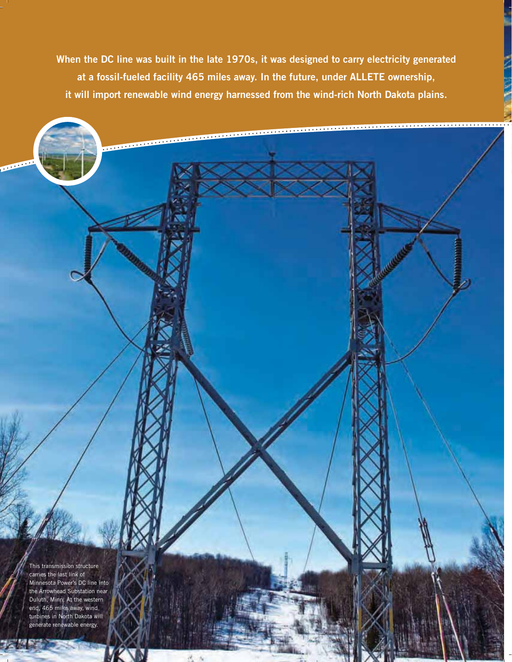**When the DC line was built in the late 1970s, it was designed to carry electricity generated at a fossil-fueled facility 465 miles away. In the future, under ALLETE ownership, it will import renewable wind energy harnessed from the wind-rich North Dakota plains.** 

**4**

This transmission structure carries the last link of Minnesota Power's DC line into the Arrowhead Substation near Duluth, Minn. At the western end, 465 miles away, wind turbines in North Dakota will generate renewable energy.

Ŋ

**CONTRACTOR**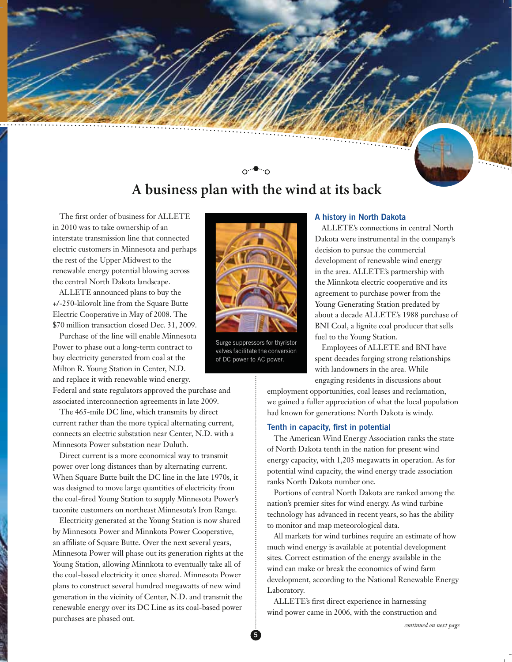

# **A business plan with the wind at its back**

The first order of business for ALLETE in 2010 was to take ownership of an interstate transmission line that connected electric customers in Minnesota and perhaps the rest of the Upper Midwest to the renewable energy potential blowing across the central North Dakota landscape.

ALLETE announced plans to buy the +/-250-kilovolt line from the Square Butte Electric Cooperative in May of 2008. The \$70 million transaction closed Dec. 31, 2009.

Purchase of the line will enable Minnesota Power to phase out a long-term contract to buy electricity generated from coal at the Milton R. Young Station in Center, N.D. and replace it with renewable wind energy.

Federal and state regulators approved the purchase and associated interconnection agreements in late 2009.

The 465-mile DC line, which transmits by direct current rather than the more typical alternating current, connects an electric substation near Center, N.D. with a Minnesota Power substation near Duluth.

Direct current is a more economical way to transmit power over long distances than by alternating current. When Square Butte built the DC line in the late 1970s, it was designed to move large quantities of electricity from the coal-fired Young Station to supply Minnesota Power's taconite customers on northeast Minnesota's Iron Range.

Electricity generated at the Young Station is now shared by Minnesota Power and Minnkota Power Cooperative, an affiliate of Square Butte. Over the next several years, Minnesota Power will phase out its generation rights at the Young Station, allowing Minnkota to eventually take all of the coal-based electricity it once shared. Minnesota Power plans to construct several hundred megawatts of new wind generation in the vicinity of Center, N.D. and transmit the renewable energy over its DC Line as its coal-based power purchases are phased out.



valves facilitate the conversion of DC power to AC power.

### **A history in North Dakota**

ALLETE's connections in central North Dakota were instrumental in the company's decision to pursue the commercial development of renewable wind energy in the area. ALLETE's partnership with the Minnkota electric cooperative and its agreement to purchase power from the Young Generating Station predated by about a decade ALLETE's 1988 purchase of BNI Coal, a lignite coal producer that sells fuel to the Young Station.

Employees of ALLETE and BNI have spent decades forging strong relationships with landowners in the area. While engaging residents in discussions about

employment opportunities, coal leases and reclamation, we gained a fuller appreciation of what the local population had known for generations: North Dakota is windy.

### **Tenth in capacity, first in potential**

The American Wind Energy Association ranks the state of North Dakota tenth in the nation for present wind energy capacity, with 1,203 megawatts in operation. As for potential wind capacity, the wind energy trade association ranks North Dakota number one.

Portions of central North Dakota are ranked among the nation's premier sites for wind energy. As wind turbine technology has advanced in recent years, so has the ability to monitor and map meteorological data.

All markets for wind turbines require an estimate of how much wind energy is available at potential development sites. Correct estimation of the energy available in the wind can make or break the economics of wind farm development, according to the National Renewable Energy Laboratory.

ALLETE's first direct experience in harnessing wind power came in 2006, with the construction and

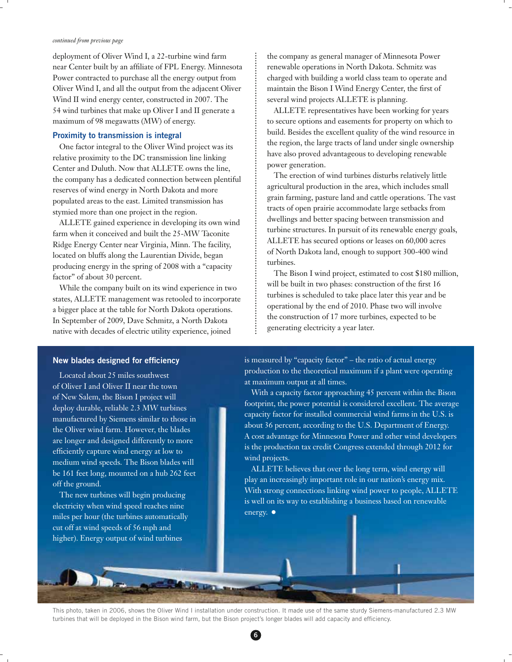#### *continued from previous page*

deployment of Oliver Wind I, a 22-turbine wind farm near Center built by an affiliate of FPL Energy. Minnesota Power contracted to purchase all the energy output from Oliver Wind I, and all the output from the adjacent Oliver Wind II wind energy center, constructed in 2007. The 54 wind turbines that make up Oliver I and II generate a maximum of 98 megawatts (MW) of energy.

## **Proximity to transmission is integral**

One factor integral to the Oliver Wind project was its relative proximity to the DC transmission line linking Center and Duluth. Now that ALLETE owns the line, the company has a dedicated connection between plentiful reserves of wind energy in North Dakota and more populated areas to the east. Limited transmission has stymied more than one project in the region.

ALLETE gained experience in developing its own wind farm when it conceived and built the 25-MW Taconite Ridge Energy Center near Virginia, Minn. The facility, located on bluffs along the Laurentian Divide, began producing energy in the spring of 2008 with a "capacity factor" of about 30 percent.

While the company built on its wind experience in two states, ALLETE management was retooled to incorporate a bigger place at the table for North Dakota operations. In September of 2009, Dave Schmitz, a North Dakota native with decades of electric utility experience, joined

the company as general manager of Minnesota Power renewable operations in North Dakota. Schmitz was charged with building a world class team to operate and maintain the Bison I Wind Energy Center, the first of several wind projects ALLETE is planning.

ALLETE representatives have been working for years to secure options and easements for property on which to build. Besides the excellent quality of the wind resource in the region, the large tracts of land under single ownership have also proved advantageous to developing renewable power generation.

The erection of wind turbines disturbs relatively little agricultural production in the area, which includes small grain farming, pasture land and cattle operations. The vast tracts of open prairie accommodate large setbacks from dwellings and better spacing between transmission and turbine structures. In pursuit of its renewable energy goals, ALLETE has secured options or leases on 60,000 acres of North Dakota land, enough to support 300-400 wind turbines.

The Bison I wind project, estimated to cost \$180 million, will be built in two phases: construction of the first 16 turbines is scheduled to take place later this year and be operational by the end of 2010. Phase two will involve the construction of 17 more turbines, expected to be generating electricity a year later.

## **New blades designed for efficiency**

Located about 25 miles southwest of Oliver I and Oliver II near the town of New Salem, the Bison I project will deploy durable, reliable 2.3 MW turbines manufactured by Siemens similar to those in the Oliver wind farm. However, the blades are longer and designed differently to more efficiently capture wind energy at low to medium wind speeds. The Bison blades will be 161 feet long, mounted on a hub 262 feet off the ground.

The new turbines will begin producing electricity when wind speed reaches nine miles per hour (the turbines automatically cut off at wind speeds of 56 mph and higher). Energy output of wind turbines

is measured by "capacity factor" – the ratio of actual energy production to the theoretical maximum if a plant were operating at maximum output at all times.

With a capacity factor approaching 45 percent within the Bison footprint, the power potential is considered excellent. The average capacity factor for installed commercial wind farms in the U.S. is about 36 percent, according to the U.S. Department of Energy. A cost advantage for Minnesota Power and other wind developers is the production tax credit Congress extended through 2012 for wind projects.

ALLETE believes that over the long term, wind energy will play an increasingly important role in our nation's energy mix. With strong connections linking wind power to people, ALLETE is well on its way to establishing a business based on renewable energy.  $\bullet$ 

This photo, taken in 2006, shows the Oliver Wind I installation under construction. It made use of the same sturdy Siemens-manufactured 2.3 MW turbines that will be deployed in the Bison wind farm, but the Bison project's longer blades will add capacity and efficiency.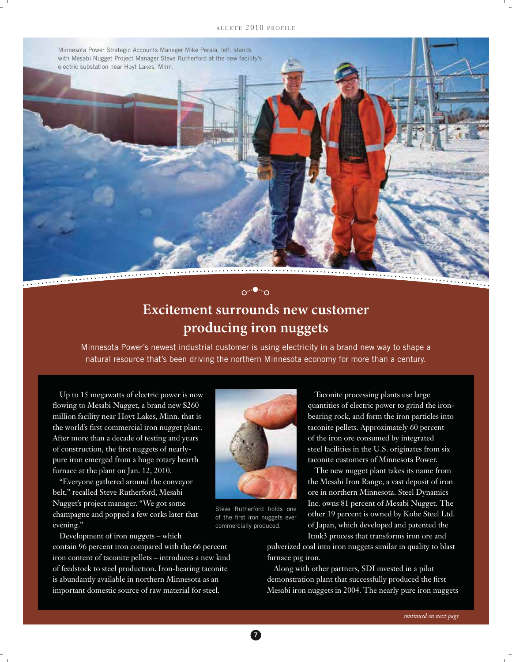## ALLETE 2010 PROFILE

Minnesota Power Strategic Accounts Manager Mike Perala, left, stands with Mesabi Nugget Project Manager Steve Rutherford at the new facility's



# **Excitement surrounds new customer producing iron nuggets**

റ<sup>…●</sup>∵∩

Minnesota Power's newest industrial customer is using electricity in a brand new way to shape a natural resource that's been driving the northern Minnesota economy for more than a century.

Up to 15 megawatts of electric power is now flowing to Mesabi Nugget, a brand new \$260 million facility near Hoyt Lakes, Minn. that is the world's first commercial iron nugget plant. After more than a decade of testing and years of construction, the first nuggets of nearlypure iron emerged from a huge rotary hearth furnace at the plant on Jan. 12, 2010.

"Everyone gathered around the conveyor belt," recalled Steve Rutherford, Mesabi Nugget's project manager. "We got some champagne and popped a few corks later that evening."

Development of iron nuggets – which

contain 96 percent iron compared with the 66 percent iron content of taconite pellets – introduces a new kind of feedstock to steel production. Iron-bearing taconite is abundantly available in northern Minnesota as an important domestic source of raw material for steel.



Steve Rutherford holds one of the first iron nuggets ever commercially produced.

Taconite processing plants use large quantities of electric power to grind the ironbearing rock, and form the iron particles into taconite pellets. Approximately 60 percent of the iron ore consumed by integrated steel facilities in the U.S. originates from six taconite customers of Minnesota Power.

The new nugget plant takes its name from the Mesabi Iron Range, a vast deposit of iron ore in northern Minnesota. Steel Dynamics Inc. owns 81 percent of Mesabi Nugget. The other 19 percent is owned by Kobe Steel Ltd. of Japan, which developed and patented the Itmk3 process that transforms iron ore and

pulverized coal into iron nuggets similar in quality to blast furnace pig iron.

Along with other partners, SDI invested in a pilot demonstration plant that successfully produced the first Mesabi iron nuggets in 2004. The nearly pure iron nuggets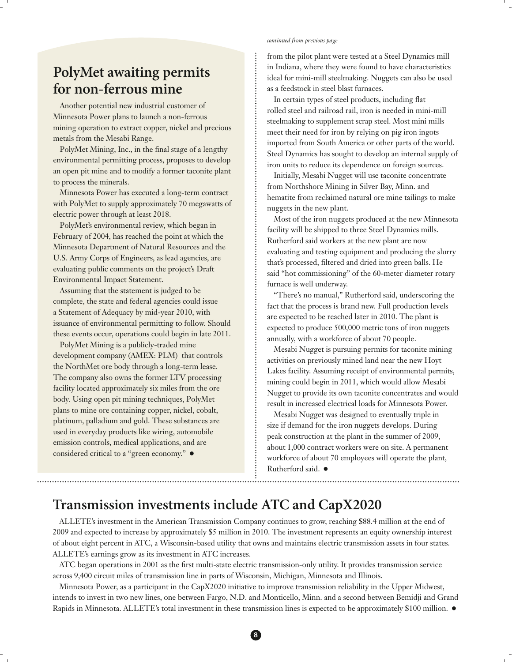## **PolyMet awaiting permits for non-ferrous mine**

Another potential new industrial customer of Minnesota Power plans to launch a non-ferrous mining operation to extract copper, nickel and precious metals from the Mesabi Range.

PolyMet Mining, Inc., in the final stage of a lengthy environmental permitting process, proposes to develop an open pit mine and to modify a former taconite plant to process the minerals.

Minnesota Power has executed a long-term contract with PolyMet to supply approximately 70 megawatts of electric power through at least 2018.

PolyMet's environmental review, which began in February of 2004, has reached the point at which the Minnesota Department of Natural Resources and the U.S. Army Corps of Engineers, as lead agencies, are evaluating public comments on the project's Draft Environmental Impact Statement.

Assuming that the statement is judged to be complete, the state and federal agencies could issue a Statement of Adequacy by mid-year 2010, with issuance of environmental permitting to follow. Should these events occur, operations could begin in late 2011.

PolyMet Mining is a publicly-traded mine development company (AMEX: PLM) that controls the NorthMet ore body through a long-term lease. The company also owns the former LTV processing facility located approximately six miles from the ore body. Using open pit mining techniques, PolyMet plans to mine ore containing copper, nickel, cobalt, platinum, palladium and gold. These substances are used in everyday products like wiring, automobile emission controls, medical applications, and are considered critical to a "green economy."  $\bullet$ 

#### *continued from previous page*

from the pilot plant were tested at a Steel Dynamics mill in Indiana, where they were found to have characteristics ideal for mini-mill steelmaking. Nuggets can also be used as a feedstock in steel blast furnaces.

In certain types of steel products, including flat rolled steel and railroad rail, iron is needed in mini-mill steelmaking to supplement scrap steel. Most mini mills meet their need for iron by relying on pig iron ingots imported from South America or other parts of the world. Steel Dynamics has sought to develop an internal supply of iron units to reduce its dependence on foreign sources.

Initially, Mesabi Nugget will use taconite concentrate from Northshore Mining in Silver Bay, Minn. and hematite from reclaimed natural ore mine tailings to make nuggets in the new plant.

Most of the iron nuggets produced at the new Minnesota facility will be shipped to three Steel Dynamics mills. Rutherford said workers at the new plant are now evaluating and testing equipment and producing the slurry that's processed, filtered and dried into green balls. He said "hot commissioning" of the 60-meter diameter rotary furnace is well underway.

"There's no manual," Rutherford said, underscoring the fact that the process is brand new. Full production levels are expected to be reached later in 2010. The plant is expected to produce 500,000 metric tons of iron nuggets annually, with a workforce of about 70 people.

Mesabi Nugget is pursuing permits for taconite mining activities on previously mined land near the new Hoyt Lakes facility. Assuming receipt of environmental permits, mining could begin in 2011, which would allow Mesabi Nugget to provide its own taconite concentrates and would result in increased electrical loads for Minnesota Power.

Mesabi Nugget was designed to eventually triple in size if demand for the iron nuggets develops. During peak construction at the plant in the summer of 2009, about 1,000 contract workers were on site. A permanent workforce of about 70 employees will operate the plant, Rutherford said.  $\bullet$ 

## **Transmission investments include ATC and CapX2020**

ALLETE's investment in the American Transmission Company continues to grow, reaching \$88.4 million at the end of 2009 and expected to increase by approximately \$5 million in 2010. The investment represents an equity ownership interest of about eight percent in ATC, a Wisconsin-based utility that owns and maintains electric transmission assets in four states. ALLETE's earnings grow as its investment in ATC increases.

ATC began operations in 2001 as the first multi-state electric transmission-only utility. It provides transmission service across 9,400 circuit miles of transmission line in parts of Wisconsin, Michigan, Minnesota and Illinois.

Minnesota Power, as a participant in the CapX2020 initiative to improve transmission reliability in the Upper Midwest, intends to invest in two new lines, one between Fargo, N.D. and Monticello, Minn. and a second between Bemidji and Grand Rapids in Minnesota. ALLETE's total investment in these transmission lines is expected to be approximately \$100 million.  $\bullet$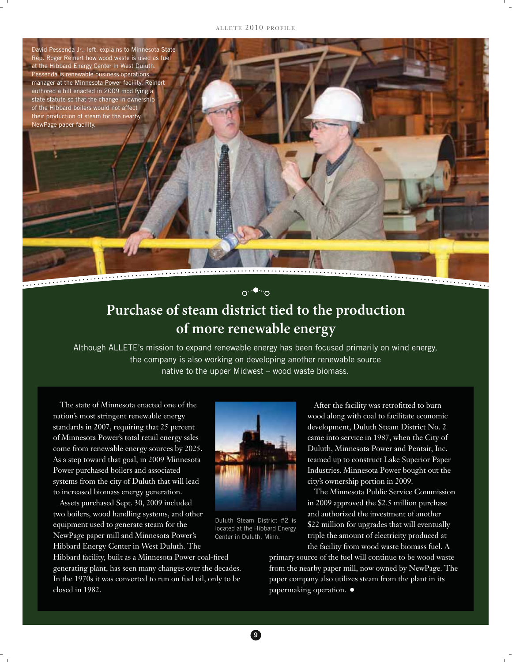#### ALLETE 2010 PROFILE



# **Purchase of steam district tied to the production of more renewable energy**

Although ALLETE's mission to expand renewable energy has been focused primarily on wind energy, the company is also working on developing another renewable source native to the upper Midwest – wood waste biomass.

The state of Minnesota enacted one of the nation's most stringent renewable energy standards in 2007, requiring that 25 percent of Minnesota Power's total retail energy sales come from renewable energy sources by 2025. As a step toward that goal, in 2009 Minnesota Power purchased boilers and associated systems from the city of Duluth that will lead to increased biomass energy generation.

Assets purchased Sept. 30, 2009 included two boilers, wood handling systems, and other equipment used to generate steam for the NewPage paper mill and Minnesota Power's Hibbard Energy Center in West Duluth. The

Hibbard facility, built as a Minnesota Power coal-fired generating plant, has seen many changes over the decades. In the 1970s it was converted to run on fuel oil, only to be closed in 1982.



Duluth Steam District #2 is located at the Hibbard Energy Center in Duluth, Minn.

wood along with coal to facilitate economic development, Duluth Steam District No. 2 came into service in 1987, when the City of Duluth, Minnesota Power and Pentair, Inc. teamed up to construct Lake Superior Paper Industries. Minnesota Power bought out the city's ownership portion in 2009.

After the facility was retrofitted to burn

The Minnesota Public Service Commission in 2009 approved the \$2.5 million purchase and authorized the investment of another \$22 million for upgrades that will eventually triple the amount of electricity produced at the facility from wood waste biomass fuel. A

primary source of the fuel will continue to be wood waste from the nearby paper mill, now owned by NewPage. The paper company also utilizes steam from the plant in its papermaking operation.  $\bullet$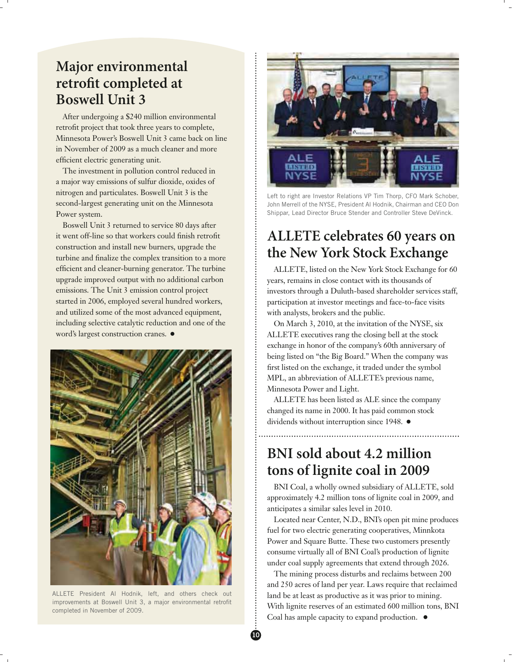## **Major environmental retrofit completed at Boswell Unit 3**

After undergoing a \$240 million environmental retrofit project that took three years to complete, Minnesota Power's Boswell Unit 3 came back on line in November of 2009 as a much cleaner and more efficient electric generating unit.

The investment in pollution control reduced in a major way emissions of sulfur dioxide, oxides of nitrogen and particulates. Boswell Unit 3 is the second-largest generating unit on the Minnesota Power system.

Boswell Unit 3 returned to service 80 days after it went off-line so that workers could finish retrofit construction and install new burners, upgrade the turbine and finalize the complex transition to a more efficient and cleaner-burning generator. The turbine upgrade improved output with no additional carbon emissions. The Unit 3 emission control project started in 2006, employed several hundred workers, and utilized some of the most advanced equipment, including selective catalytic reduction and one of the word's largest construction cranes.  $\bullet$ 



ALLETE President Al Hodnik, left, and others check out improvements at Boswell Unit 3, a major environmental retrofit completed in November of 2009.



Left to right are Investor Relations VP Tim Thorp, CFO Mark Schober, John Merrell of the NYSE, President Al Hodnik, Chairman and CEO Don Shippar, Lead Director Bruce Stender and Controller Steve DeVinck.

## **ALLETE celebrates 60 years on the New York Stock Exchange**

ALLETE, listed on the New York Stock Exchange for 60 years, remains in close contact with its thousands of investors through a Duluth-based shareholder services staff, participation at investor meetings and face-to-face visits with analysts, brokers and the public.

On March 3, 2010, at the invitation of the NYSE, six ALLETE executives rang the closing bell at the stock exchange in honor of the company's 60th anniversary of being listed on "the Big Board." When the company was first listed on the exchange, it traded under the symbol MPL, an abbreviation of ALLETE's previous name, Minnesota Power and Light.

ALLETE has been listed as ALE since the company changed its name in 2000. It has paid common stock dividends without interruption since 1948.  $\bullet$ 

## **BNI sold about 4.2 million tons of lignite coal in 2009**

BNI Coal, a wholly owned subsidiary of ALLETE, sold approximately 4.2 million tons of lignite coal in 2009, and anticipates a similar sales level in 2010.

Located near Center, N.D., BNI's open pit mine produces fuel for two electric generating cooperatives, Minnkota Power and Square Butte. These two customers presently consume virtually all of BNI Coal's production of lignite under coal supply agreements that extend through 2026.

The mining process disturbs and reclaims between 200 and 250 acres of land per year. Laws require that reclaimed land be at least as productive as it was prior to mining. With lignite reserves of an estimated 600 million tons, BNI Coal has ample capacity to expand production.  $\bullet$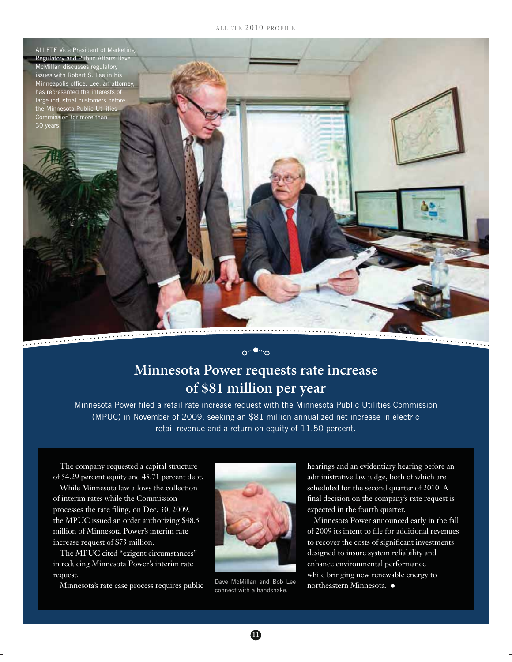ALLETE 2010 PROFILE



**Minnesota Power requests rate increase of \$81 million per year**

 $\circ \cdot \cdot \bullet \cdot \cdot \circ$ 

Minnesota Power filed a retail rate increase request with the Minnesota Public Utilities Commission (MPUC) in November of 2009, seeking an \$81 million annualized net increase in electric retail revenue and a return on equity of 11.50 percent.

The company requested a capital structure of 54.29 percent equity and 45.71 percent debt.

While Minnesota law allows the collection of interim rates while the Commission processes the rate filing, on Dec. 30, 2009, the MPUC issued an order authorizing \$48.5 million of Minnesota Power's interim rate increase request of \$73 million.

The MPUC cited "exigent circumstances" in reducing Minnesota Power's interim rate request.

Minnesota's rate case process requires public



Dave McMillan and Bob Lee connect with a handshake.

hearings and an evidentiary hearing before an administrative law judge, both of which are scheduled for the second quarter of 2010. A final decision on the company's rate request is expected in the fourth quarter.

Minnesota Power announced early in the fall of 2009 its intent to file for additional revenues to recover the costs of significant investments designed to insure system reliability and enhance environmental performance while bringing new renewable energy to northeastern Minnesota.  $\bullet$